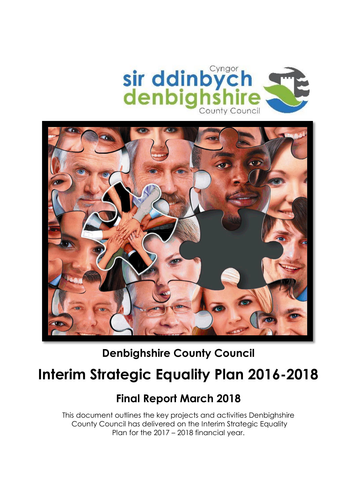



**Denbighshire County Council**

# **Interim Strategic Equality Plan 2016-2018**

## **Final Report March 2018**

This document outlines the key projects and activities Denbighshire County Council has delivered on the Interim Strategic Equality Plan for the 2017 – 2018 financial year.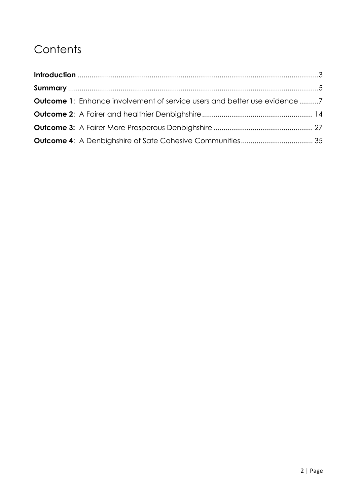# **Contents**

| Outcome 1: Enhance involvement of service users and better use evidence7 |  |
|--------------------------------------------------------------------------|--|
|                                                                          |  |
|                                                                          |  |
|                                                                          |  |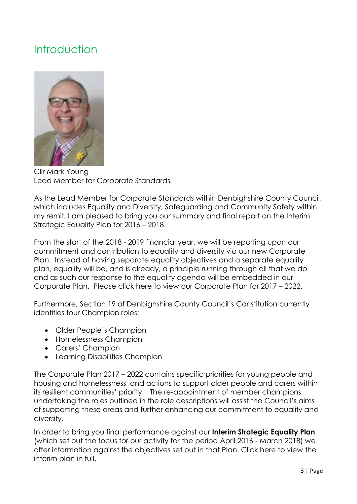### <span id="page-2-0"></span>Introduction



Cllr Mark Young Lead Member for Corporate Standards

As the Lead Member for Corporate Standards within Denbighshire County Council, which includes Equality and Diversity, Safeguarding and Community Safety within my remit, I am pleased to bring you our summary and final report on the Interim Strategic Equality Plan for 2016 – 2018.

From the start of the 2018 - 2019 financial year, we will be reporting upon our commitment and contribution to equality and diversity via our new Corporate Plan. Instead of having separate equality objectives and a separate equality plan, equality will be, and is already, a principle running through all that we do and as such our response to the equality agenda will be embedded in our Corporate Plan. [Please click here](https://www.denbighshire.gov.uk/en/your-council/strategies-plans-and-policies/corporate-plan/corporate-plan-2017-2022.aspx) to view our Corporate Plan for 2017 – 2022.

Furthermore, Section 19 of Denbighshire County Council's Constitution currently identifies four Champion roles:

- Older People's Champion
- Homelessness Champion
- Carers' Champion
- Learning Disabilities Champion

The Corporate Plan 2017 – 2022 contains specific priorities for young people and housing and homelessness, and actions to support older people and carers within its resilient communities' priority. The re-appointment of member champions undertaking the roles outlined in the role descriptions will assist the Council's aims of supporting these areas and further enhancing our commitment to equality and diversity.

In order to bring you final performance against our **Interim Strategic Equality Plan** (which set out the focus for our activity for the period April 2016 - March 2018) we offer information against the objectives set out in that Plan. [Click here to view the](https://www.denbighshire.gov.uk/en/your-council/access-to-information/equality-diversity-and-human-rights.aspx)  [interim plan](https://www.denbighshire.gov.uk/en/your-council/access-to-information/equality-diversity-and-human-rights.aspx) in full.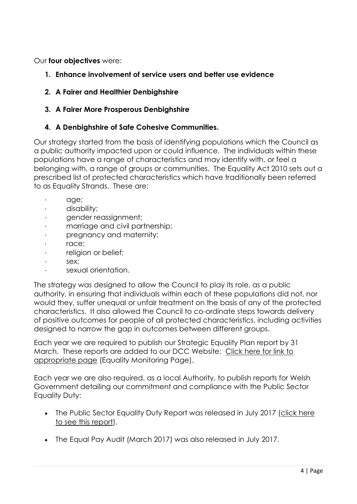Our **four objectives** were:

- **1. Enhance involvement of service users and better use evidence**
- **2. A Fairer and Healthier Denbighshire**

#### **3. A Fairer More Prosperous Denbighshire**

#### **4. A Denbighshire of Safe Cohesive Communities.**

Our strategy started from the basis of identifying populations which the Council as a public authority impacted upon or could influence. The individuals within these populations have a range of characteristics and may identify with, or feel a belonging with, a range of groups or communities. The Equality Act 2010 sets out a prescribed list of protected characteristics which have traditionally been referred to as Equality Strands. These are:

- · age;
- · disability;
- · gender reassignment;
- · marriage and civil partnership;
- · pregnancy and maternity;
- race:
- religion or belief:
- sex:
- · sexual orientation.

The strategy was designed to allow the Council to play its role, as a public authority, in ensuring that individuals within each of these populations did not, nor would they, suffer unequal or unfair treatment on the basis of any of the protected characteristics. It also allowed the Council to co-ordinate steps towards delivery of positive outcomes for people of all protected characteristics, including activities designed to narrow the gap in outcomes between different groups.

Each year we are required to publish our Strategic Equality Plan report by 31 March. These reports are added to our DCC Website: [Click here for link to](https://www.denbighshire.gov.uk/en/your-council/access-to-information/equality-diversity-and-human-rights.aspx)  [appropriate page](https://www.denbighshire.gov.uk/en/your-council/access-to-information/equality-diversity-and-human-rights.aspx) (Equality Monitoring Page).

Each year we are also required, as a local Authority, to publish reports for Welsh Government detailing our commitment and compliance with the Public Sector Equality Duty:

- The Public Sector Equality Duty Report was released in July 2017 (click here [to see this report\)](https://www.denbighshire.gov.uk/en/your-council/access-to-information/equality-diversity-and-human-rights.aspx).
- The Equal Pay Audit (March 2017) was also released in July 2017.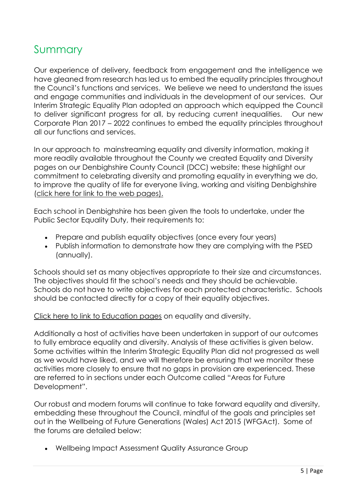### <span id="page-4-0"></span>Summary

Our experience of delivery, feedback from engagement and the intelligence we have gleaned from research has led us to embed the equality principles throughout the Council's functions and services. We believe we need to understand the issues and engage communities and individuals in the development of our services. Our Interim Strategic Equality Plan adopted an approach which equipped the Council to deliver significant progress for all, by reducing current inequalities. Our new Corporate Plan 2017 – 2022 continues to embed the equality principles throughout all our functions and services.

In our approach to mainstreaming equality and diversity information, making it more readily available throughout the County we created Equality and Diversity pages on our Denbighshire County Council (DCC) website; these highlight our commitment to celebrating diversity and promoting equality in everything we do, to improve the quality of life for everyone living, working and visiting Denbighshire [\(click here for link](https://www.denbighshire.gov.uk/en/your-council/access-to-information/equality-diversity-and-human-rights.aspx) to the web pages).

Each school in Denbighshire has been given the tools to undertake, under the Public Sector Equality Duty, their requirements to:

- Prepare and publish equality objectives (once every four years)
- Publish information to demonstrate how they are complying with the PSED (annually).

Schools should set as many objectives appropriate to their size and circumstances. The objectives should fit the school's needs and they should be achievable. Schools do not have to write objectives for each protected characteristic. Schools should be contacted directly for a copy of their equality objectives.

#### [Click here to link to Education pages](https://www.denbighshire.gov.uk/en/resident/education/equality-and-schools/equality-and-schools.aspx) on equality and diversity.

Additionally a host of activities have been undertaken in support of our outcomes to fully embrace equality and diversity. Analysis of these activities is given below. Some activities within the Interim Strategic Equality Plan did not progressed as well as we would have liked, and we will therefore be ensuring that we monitor these activities more closely to ensure that no gaps in provision are experienced. These are referred to in sections under each Outcome called "Areas for Future Development".

Our robust and modern forums will continue to take forward equality and diversity, embedding these throughout the Council, mindful of the goals and principles set out in the Wellbeing of Future Generations (Wales) Act 2015 (WFGAct). Some of the forums are detailed below:

Wellbeing Impact Assessment Quality Assurance Group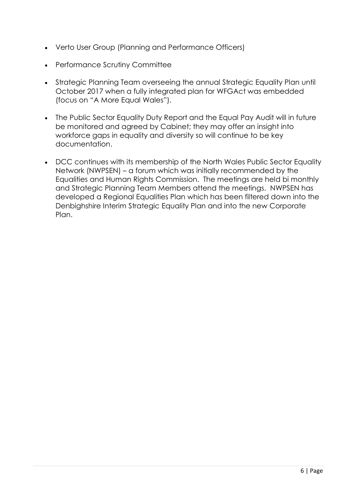- Verto User Group (Planning and Performance Officers)
- Performance Scrutiny Committee
- Strategic Planning Team overseeing the annual Strategic Equality Plan until October 2017 when a fully integrated plan for WFGAct was embedded (focus on "A More Equal Wales").
- The Public Sector Equality Duty Report and the Equal Pay Audit will in future be monitored and agreed by Cabinet; they may offer an insight into workforce gaps in equality and diversity so will continue to be key documentation.
- DCC continues with its membership of the North Wales Public Sector Equality Network (NWPSEN) – a forum which was initially recommended by the Equalities and Human Rights Commission. The meetings are held bi monthly and Strategic Planning Team Members attend the meetings. NWPSEN has developed a Regional Equalities Plan which has been filtered down into the Denbighshire Interim Strategic Equality Plan and into the new Corporate Plan.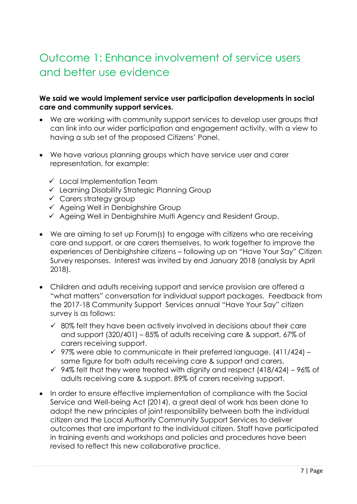## <span id="page-6-0"></span>Outcome 1: Enhance involvement of service users and better use evidence

#### **We said we would implement service user participation developments in social care and community support services.**

- We are working with community support services to develop user groups that can link into our wider participation and engagement activity, with a view to having a sub set of the proposed Citizens' Panel.
- We have various planning groups which have service user and carer representation, for example:
	- $\checkmark$  Local Implementation Team
	- $\checkmark$  Learning Disability Strategic Planning Group
	- $\checkmark$  Carers strategy group
	- $\checkmark$  Ageing Well in Denbighshire Group
	- $\checkmark$  Ageing Well in Denbighshire Multi Agency and Resident Group.
- We are aiming to set up Forum(s) to engage with citizens who are receiving care and support, or are carers themselves, to work together to improve the experiences of Denbighshire citizens – following up on "Have Your Say" Citizen Survey responses. Interest was invited by end January 2018 (analysis by April 2018).
- Children and adults receiving support and service provision are offered a "what matters" conversation for individual support packages. Feedback from the 2017-18 Community Support Services annual "Have Your Say" citizen survey is as follows:
	- $\checkmark$  80% felt they have been actively involved in decisions about their care and support (320/401) – 85% of adults receiving care & support, 67% of carers receiving support.
	- $\checkmark$  97% were able to communicate in their preferred language. (411/424) same figure for both adults receiving care & support and carers.
	- $\checkmark$  94% felt that they were treated with dignity and respect (418/424) 96% of adults receiving care & support, 89% of carers receiving support.
- In order to ensure effective implementation of compliance with the Social Service and Well-being Act (2014), a great deal of work has been done to adopt the new principles of joint responsibility between both the individual citizen and the Local Authority Community Support Services to deliver outcomes that are important to the individual citizen. Staff have participated in training events and workshops and policies and procedures have been revised to reflect this new collaborative practice.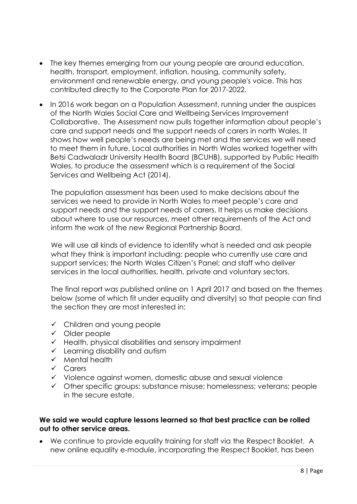- The key themes emerging from our young people are around education, health, transport, employment, inflation, housing, community safety, environment and renewable energy, and young people's voice. This has contributed directly to the Corporate Plan for 2017-2022.
- In 2016 work began on a Population Assessment, running under the auspices of the North Wales Social Care and Wellbeing Services Improvement Collaborative. The Assessment now pulls together information about people's care and support needs and the support needs of carers in north Wales. It shows how well people's needs are being met and the services we will need to meet them in future. Local authorities in North Wales worked together with Betsi Cadwaladr University Health Board (BCUHB), supported by Public Health Wales, to produce the assessment which is a requirement of the Social Services and Wellbeing Act (2014).

The population assessment has been used to make decisions about the services we need to provide in North Wales to meet people's care and support needs and the support needs of carers. It helps us make decisions about where to use our resources, meet other requirements of the Act and inform the work of the new Regional Partnership Board.

We will use all kinds of evidence to identify what is needed and ask people what they think is important including: people who currently use care and support services; the North Wales Citizen's Panel; and staff who deliver services in the local authorities, health, private and voluntary sectors.

The final report was published online on 1 April 2017 and based on the themes below (some of which fit under equality and diversity) so that people can find the section they are most interested in:

- $\checkmark$  Children and young people
- $\checkmark$  Older people
- $\checkmark$  Health, physical disabilities and sensory impairment
- $\checkmark$  Learning disability and autism
- $\checkmark$  Mental health
- $\checkmark$  Carers
- $\checkmark$  Violence against women, domestic abuse and sexual violence
- $\checkmark$  Other specific groups: substance misuse; homelessness; veterans; people in the secure estate.

#### **We said we would capture lessons learned so that best practice can be rolled out to other service areas.**

 We continue to provide equality training for staff via the Respect Booklet. A new online equality e-module, incorporating the Respect Booklet, has been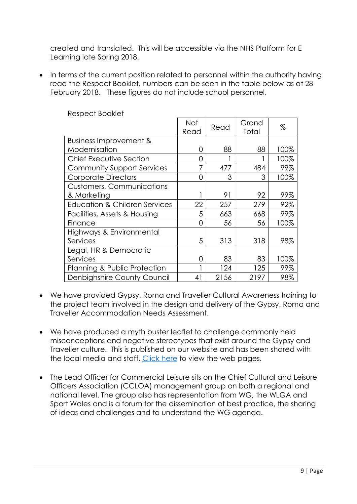created and translated. This will be accessible via the NHS Platform for E Learning late Spring 2018.

• In terms of the current position related to personnel within the authority having read the Respect Booklet, numbers can be seen in the table below as at 28 February 2018. These figures do not include school personnel.

|                                          | Not<br>Read | Read | Grand<br>Total | %    |
|------------------------------------------|-------------|------|----------------|------|
| Business Improvement &                   |             |      |                |      |
| Modernisation                            | O           | 88   | 88             | 100% |
| Chief Executive Section                  | Ω           |      |                | 100% |
| <b>Community Support Services</b>        |             | 477  | 484            | 99%  |
| <b>Corporate Directors</b>               | O           | 3    | 3              | 100% |
| <b>Customers, Communications</b>         |             |      |                |      |
| & Marketing                              |             | 91   | 92             | 99%  |
| <b>Education &amp; Children Services</b> | 22          | 257  | 279            | 92%  |
| Facilities, Assets & Housing             | 5           | 663  | 668            | 99%  |
| Finance                                  | O           | 56   | 56             | 100% |
| Highways & Environmental                 |             |      |                |      |
| Services                                 | 5           | 313  | 318            | 98%  |
| Legal, HR & Democratic                   |             |      |                |      |
| Services                                 | 0           | 83   | 83             | 100% |
| Planning & Public Protection             |             | 124  | 125            | 99%  |
| Denbighshire County Council              | 41          | 2156 | 2197           | 98%  |

Respect Booklet

- We have provided Gypsy, Roma and Traveller Cultural Awareness training to the project team involved in the design and delivery of the Gypsy, Roma and Traveller Accommodation Needs Assessment.
- We have produced a myth buster leaflet to challenge commonly held misconceptions and negative stereotypes that exist around the Gypsy and Traveller culture. This is published on our website and has been shared with the local media and staff. [Click here](https://www.denbighshire.gov.uk/en/resident/community-and-living/gypsies-and-travellers/gypsies-and-travellers.aspx) to view the web pages.
- The Lead Officer for Commercial Leisure sits on the Chief Cultural and Leisure Officers Association (CCLOA) management group on both a regional and national level. The group also has representation from WG, the WLGA and Sport Wales and is a forum for the dissemination of best practice, the sharing of ideas and challenges and to understand the WG agenda.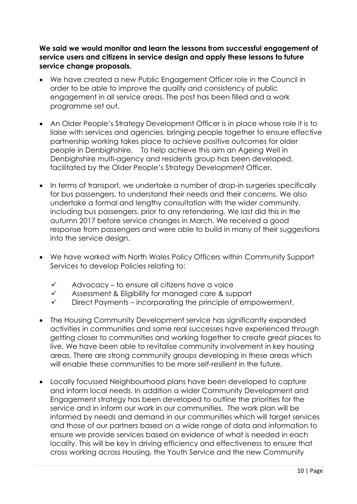**We said we would monitor and learn the lessons from successful engagement of service users and citizens in service design and apply these lessons to future service change proposals.** 

- We have created a new Public Engagement Officer role in the Council in order to be able to improve the quality and consistency of public engagement in all service areas. The post has been filled and a work programme set out.
- An Older People's Strategy Development Officer is in place whose role it is to liaise with services and agencies, bringing people together to ensure effective partnership working takes place to achieve positive outcomes for older people in Denbighshire. To help achieve this aim an Ageing Well in Denbighshire multi-agency and residents group has been developed, facilitated by the Older People's Strategy Development Officer.
- In terms of transport, we undertake a number of drop-in surgeries specifically for bus passengers, to understand their needs and their concerns. We also undertake a formal and lengthy consultation with the wider community, including bus passengers, prior to any retendering. We last did this in the autumn 2017 before service changes in March. We received a good response from passengers and were able to build in many of their suggestions into the service design.
- We have worked with North Wales Policy Officers within Community Support Services to develop Policies relating to:
	- $\checkmark$  Advocacy to ensure all citizens have a voice
	- $\checkmark$  Assessment & Eligibility for managed care & support
	- $\checkmark$  Direct Payments incorporating the principle of empowerment.
- The Housing Community Development service has significantly expanded activities in communities and some real successes have experienced through getting closer to communities and working together to create great places to live. We have been able to revitalise community involvement in key housing areas. There are strong community groups developing in these areas which will enable these communities to be more self-resilient in the future.
- Locally focussed Neighbourhood plans have been developed to capture and inform local needs. In addition a wider Community Development and Engagement strategy has been developed to outline the priorities for the service and in inform our work in our communities. The work plan will be informed by needs and demand in our communities which will target services and those of our partners based on a wide range of data and information to ensure we provide services based on evidence of what is needed in each locality. This will be key in driving efficiency and effectiveness to ensure that cross working across Housing, the Youth Service and the new Community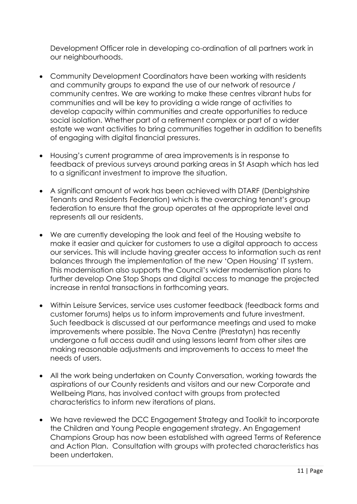Development Officer role in developing co-ordination of all partners work in our neighbourhoods.

- Community Development Coordinators have been working with residents and community groups to expand the use of our network of resource / community centres. We are working to make these centres vibrant hubs for communities and will be key to providing a wide range of activities to develop capacity within communities and create opportunities to reduce social isolation. Whether part of a retirement complex or part of a wider estate we want activities to bring communities together in addition to benefits of engaging with digital financial pressures.
- Housing's current programme of area improvements is in response to feedback of previous surveys around parking areas in St Asaph which has led to a significant investment to improve the situation.
- A significant amount of work has been achieved with DTARF (Denbighshire Tenants and Residents Federation) which is the overarching tenant's group federation to ensure that the group operates at the appropriate level and represents all our residents.
- We are currently developing the look and feel of the Housing website to make it easier and quicker for customers to use a digital approach to access our services. This will include having greater access to information such as rent balances through the implementation of the new 'Open Housing' IT system. This modernisation also supports the Council's wider modernisation plans to further develop One Stop Shops and digital access to manage the projected increase in rental transactions in forthcoming years.
- Within Leisure Services, service uses customer feedback (feedback forms and customer forums) helps us to inform improvements and future investment. Such feedback is discussed at our performance meetings and used to make improvements where possible. The Nova Centre (Prestatyn) has recently undergone a full access audit and using lessons learnt from other sites are making reasonable adjustments and improvements to access to meet the needs of users.
- All the work being undertaken on County Conversation, working towards the aspirations of our County residents and visitors and our new Corporate and Wellbeing Plans, has involved contact with groups from protected characteristics to inform new iterations of plans.
- We have reviewed the DCC Engagement Strategy and Toolkit to incorporate the Children and Young People engagement strategy. An Engagement Champions Group has now been established with agreed Terms of Reference and Action Plan. Consultation with groups with protected characteristics has been undertaken.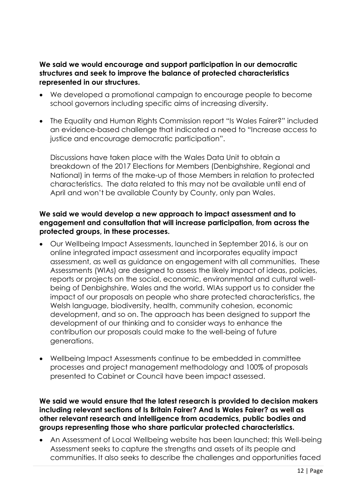#### **We said we would encourage and support participation in our democratic structures and seek to improve the balance of protected characteristics represented in our structures.**

- We developed a promotional campaign to encourage people to become school governors including specific aims of increasing diversity.
- The Equality and Human Rights Commission report "Is Wales Fairer?" included an evidence-based challenge that indicated a need to "Increase access to justice and encourage democratic participation".

Discussions have taken place with the Wales Data Unit to obtain a breakdown of the 2017 Elections for Members (Denbighshire, Regional and National) in terms of the make-up of those Members in relation to protected characteristics. The data related to this may not be available until end of April and won't be available County by County, only pan Wales.

#### **We said we would develop a new approach to impact assessment and to engagement and consultation that will increase participation, from across the protected groups, in these processes.**

- Our Wellbeing Impact Assessments, launched in September 2016, is our on online integrated impact assessment and incorporates equality impact assessment, as well as guidance on engagement with all communities. These Assessments (WIAs) are designed to assess the likely impact of ideas, policies, reports or projects on the social, economic, environmental and cultural wellbeing of Denbighshire, Wales and the world. WIAs support us to consider the impact of our proposals on people who share [protected characteristics,](https://www.denbighshire.gov.uk/en/your-council/access-to-information/equality-diversity-and-human-rights.aspx) the Welsh language, biodiversity, health, community cohesion, economic development, and so on. The approach has been designed to support the development of our thinking and to consider ways to enhance the contribution our proposals could make to the well-being of future generations.
- Wellbeing Impact Assessments continue to be embedded in committee processes and project management methodology and 100% of proposals presented to Cabinet or Council have been impact assessed.

#### **We said we would ensure that the latest research is provided to decision makers including relevant sections of Is Britain Fairer? And Is Wales Fairer? as well as other relevant research and intelligence from academics, public bodies and groups representing those who share particular protected characteristics.**

 An Assessment of Local Wellbeing website has been launched; this Well-being Assessment seeks to capture the strengths and assets of its people and communities. It also seeks to describe the challenges and opportunities faced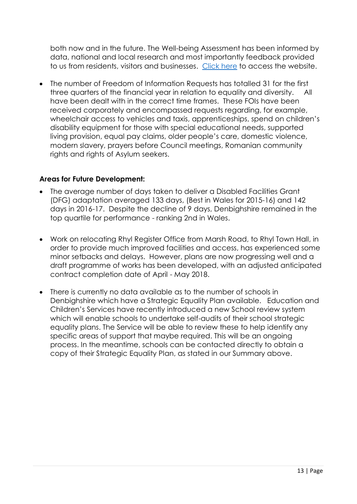both now and in the future. The Well-being Assessment has been informed by data, national and local research and most importantly feedback provided to us from residents, visitors and businesses. [Click here](http://conwyanddenbighshirelsb.org.uk/en/home/english-wellbeing-assessment/) to access the website.

 The number of Freedom of Information Requests has totalled 31 for the first three quarters of the financial year in relation to equality and diversity. All have been dealt with in the correct time frames. These FOIs have been received corporately and encompassed requests regarding, for example, wheelchair access to vehicles and taxis, apprenticeships, spend on children's disability equipment for those with special educational needs, supported living provision, equal pay claims, older people's care, domestic violence, modern slavery, prayers before Council meetings, Romanian community rights and rights of Asylum seekers.

#### **Areas for Future Development:**

- The average number of days taken to deliver a Disabled Facilities Grant (DFG) adaptation averaged 133 days, (Best in Wales for 2015-16) and 142 days in 2016-17. Despite the decline of 9 days, Denbighshire remained in the top quartile for performance - ranking 2nd in Wales.
- Work on relocating Rhyl Register Office from Marsh Road, to Rhyl Town Hall, in order to provide much improved facilities and access, has experienced some minor setbacks and delays. However, plans are now progressing well and a draft programme of works has been developed, with an adjusted anticipated contract completion date of April - May 2018.
- There is currently no data available as to the number of schools in Denbighshire which have a Strategic Equality Plan available. Education and Children's Services have recently introduced a new School review system which will enable schools to undertake self-audits of their school strategic equality plans. The Service will be able to review these to help identify any specific areas of support that maybe required. This will be an ongoing process. In the meantime, schools can be contacted directly to obtain a copy of their Strategic Equality Plan, as stated in our Summary above.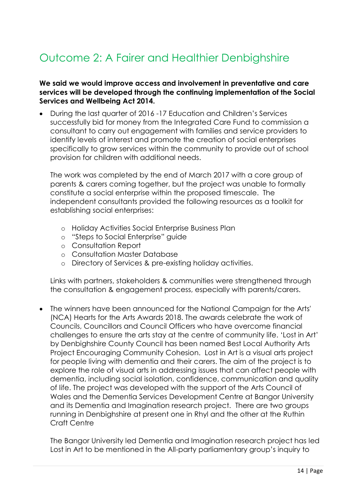# <span id="page-13-0"></span>Outcome 2: A Fairer and Healthier Denbighshire

#### **We said we would improve access and involvement in preventative and care services will be developed through the continuing implementation of the Social Services and Wellbeing Act 2014.**

 During the last quarter of 2016 -17 Education and Children's Services successfully bid for money from the Integrated Care Fund to commission a consultant to carry out engagement with families and service providers to identify levels of interest and promote the creation of social enterprises specifically to grow services within the community to provide out of school provision for children with additional needs.

The work was completed by the end of March 2017 with a core group of parents & carers coming together, but the project was unable to formally constitute a social enterprise within the proposed timescale. The independent consultants provided the following resources as a toolkit for establishing social enterprises:

- o Holiday Activities Social Enterprise Business Plan
- o "Steps to Social Enterprise" guide
- o Consultation Report
- o Consultation Master Database
- o Directory of Services & pre-existing holiday activities.

Links with partners, stakeholders & communities were strengthened through the consultation & engagement process, especially with parents/carers.

 The winners have been announced for the National Campaign for the Arts' (NCA) Hearts for the Arts Awards 2018. The awards celebrate the work of Councils, Councillors and Council Officers who have overcome financial challenges to ensure the arts stay at the centre of community life. 'Lost in Art' by Denbighshire County Council has been named Best Local Authority Arts Project Encouraging Community Cohesion. Lost in Art is a visual arts project for people living with dementia and their carers. The aim of the project is to explore the role of visual arts in addressing issues that can affect people with dementia, including social isolation, confidence, communication and quality of life. The project was developed with the support of the Arts Council of Wales and the Dementia Services Development Centre at Bangor University and its Dementia and Imagination research project. There are two groups running in Denbighshire at present one in Rhyl and the other at the Ruthin Craft Centre

The Bangor University led Dementia and Imagination research project has led Lost in Art to be mentioned in the All-party parliamentary group's inquiry to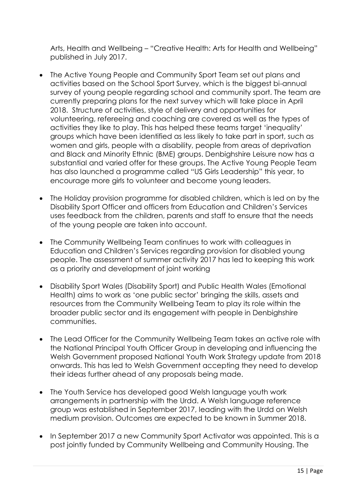Arts, Health and Wellbeing – "Creative Health: Arts for Health and Wellbeing" published in July 2017.

- The Active Young People and Community Sport Team set out plans and activities based on the School Sport Survey, which is the biggest bi-annual survey of young people regarding school and community sport. The team are currently preparing plans for the next survey which will take place in April 2018. Structure of activities, style of delivery and opportunities for volunteering, refereeing and coaching are covered as well as the types of activities they like to play. This has helped these teams target 'inequality' groups which have been identified as less likely to take part in sport, such as women and girls, people with a disability, people from areas of deprivation and Black and Minority Ethnic (BME) groups. Denbighshire Leisure now has a substantial and varied offer for these groups. The Active Young People Team has also launched a programme called "US Girls Leadership" this year, to encourage more girls to volunteer and become young leaders.
- The Holiday provision programme for disabled children, which is led on by the Disability Sport Officer and officers from Education and Children's Services uses feedback from the children, parents and staff to ensure that the needs of the young people are taken into account.
- The Community Wellbeing Team continues to work with colleagues in Education and Children's Services regarding provision for disabled young people. The assessment of summer activity 2017 has led to keeping this work as a priority and development of joint working
- Disability Sport Wales (Disability Sport) and Public Health Wales (Emotional Health) aims to work as 'one public sector' bringing the skills, assets and resources from the Community Wellbeing Team to play its role within the broader public sector and its engagement with people in Denbighshire communities.
- The Lead Officer for the Community Wellbeing Team takes an active role with the National Principal Youth Officer Group in developing and influencing the Welsh Government proposed National Youth Work Strategy update from 2018 onwards. This has led to Welsh Government accepting they need to develop their ideas further ahead of any proposals being made.
- The Youth Service has developed good Welsh language youth work arrangements in partnership with the Urdd. A Welsh language reference group was established in September 2017, leading with the Urdd on Welsh medium provision. Outcomes are expected to be known in Summer 2018.
- In September 2017 a new Community Sport Activator was appointed. This is a post jointly funded by Community Wellbeing and Community Housing. The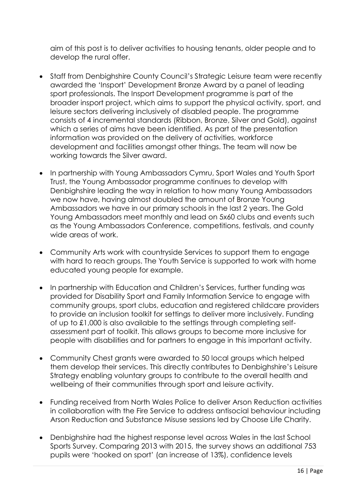aim of this post is to deliver activities to housing tenants, older people and to develop the rural offer.

- Staff from Denbighshire County Council's Strategic Leisure team were recently awarded the 'Insport' Development Bronze Award by a panel of leading sport professionals. The Insport Development programme is part of the broader insport project, which aims to support the physical activity, sport, and leisure sectors delivering inclusively of disabled people. The programme consists of 4 incremental standards (Ribbon, Bronze, Silver and Gold), against which a series of aims have been identified. As part of the presentation information was provided on the delivery of activities, workforce development and facilities amongst other things. The team will now be working towards the Silver award.
- In partnership with Young Ambassadors Cymru, Sport Wales and Youth Sport Trust, the Young Ambassador programme continues to develop with Denbighshire leading the way in relation to how many Young Ambassadors we now have, having almost doubled the amount of Bronze Young Ambassadors we have in our primary schools in the last 2 years. The Gold Young Ambassadors meet monthly and lead on 5x60 clubs and events such as the Young Ambassadors Conference, competitions, festivals, and county wide areas of work.
- Community Arts work with countryside Services to support them to engage with hard to reach groups. The Youth Service is supported to work with home educated young people for example.
- In partnership with Education and Children's Services, further funding was provided for Disability Sport and Family Information Service to engage with community groups, sport clubs, education and registered childcare providers to provide an inclusion toolkit for settings to deliver more inclusively. Funding of up to £1,000 is also available to the settings through completing selfassessment part of toolkit. This allows groups to become more inclusive for people with disabilities and for partners to engage in this important activity.
- Community Chest grants were awarded to 50 local groups which helped them develop their services. This directly contributes to Denbighshire's Leisure Strategy enabling voluntary groups to contribute to the overall health and wellbeing of their communities through sport and leisure activity.
- Funding received from North Wales Police to deliver Arson Reduction activities in collaboration with the Fire Service to address antisocial behaviour including Arson Reduction and Substance Misuse sessions led by Choose Life Charity.
- Denbighshire had the highest response level across Wales in the last School Sports Survey. Comparing 2013 with 2015, the survey shows an additional 753 pupils were 'hooked on sport' (an increase of 13%), confidence levels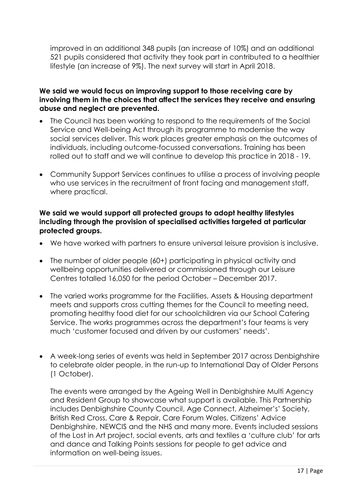improved in an additional 348 pupils (an increase of 10%) and an additional 521 pupils considered that activity they took part in contributed to a healthier lifestyle (an increase of 9%). The next survey will start in April 2018.

#### **We said we would focus on improving support to those receiving care by involving them in the choices that affect the services they receive and ensuring abuse and neglect are prevented.**

- The Council has been working to respond to the requirements of the Social Service and Well-being Act through its programme to modernise the way social services deliver. This work places greater emphasis on the outcomes of individuals, including outcome-focussed conversations. Training has been rolled out to staff and we will continue to develop this practice in 2018 - 19.
- Community Support Services continues to utilise a process of involving people who use services in the recruitment of front facing and management staff, where practical.

#### **We said we would support all protected groups to adopt healthy lifestyles including through the provision of specialised activities targeted at particular protected groups.**

- We have worked with partners to ensure universal leisure provision is inclusive.
- The number of older people (60+) participating in physical activity and wellbeing opportunities delivered or commissioned through our Leisure Centres totalled 16,050 for the period October – December 2017.
- The varied works programme for the Facilities, Assets & Housing department meets and supports cross cutting themes for the Council to meeting need, promoting healthy food diet for our schoolchildren via our School Catering Service. The works programmes across the department's four teams is very much 'customer focused and driven by our customers' needs'.
- A week-long series of events was held in September 2017 across Denbighshire to celebrate older people, in the run-up to International Day of Older Persons (1 October).

The events were arranged by the Ageing Well in Denbighshire Multi Agency and Resident Group to showcase what support is available. This Partnership includes Denbighshire County Council, Age Connect, Alzheimer's' Society, British Red Cross, Care & Repair, Care Forum Wales, Citizens' Advice Denbighshire, NEWCIS and the NHS and many more. Events included sessions of the Lost in Art project, social events, arts and textiles a 'culture club' for arts and dance and Talking Points sessions for people to get advice and information on well-being issues.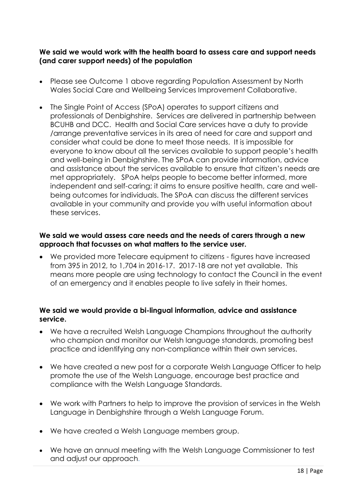#### **We said we would work with the health board to assess care and support needs (and carer support needs) of the population**

- Please see Outcome 1 above regarding Population Assessment by North Wales Social Care and Wellbeing Services Improvement Collaborative.
- The Single Point of Access (SPoA) operates to support citizens and professionals of Denbighshire. Services are delivered in partnership between BCUHB and DCC. Health and Social Care services have a duty to provide /arrange preventative services in its area of need for care and support and consider what could be done to meet those needs. It is impossible for everyone to know about all the services available to support people's health and well-being in Denbighshire. The SPoA can provide information, advice and assistance about the services available to ensure that citizen's needs are met appropriately. SPoA helps people to become better informed, more independent and self-caring; it aims to ensure positive health, care and wellbeing outcomes for individuals. The SPoA can discuss the different services available in your community and provide you with useful information about these services.

#### **We said we would assess care needs and the needs of carers through a new approach that focusses on what matters to the service user.**

 We provided more Telecare equipment to citizens - figures have increased from 395 in 2012, to 1,704 in 2016-17. 2017-18 are not yet available. This means more people are using technology to contact the Council in the event of an emergency and it enables people to live safely in their homes.

#### **We said we would provide a bi-lingual information, advice and assistance service.**

- We have a recruited Welsh Language Champions throughout the authority who champion and monitor our Welsh language standards, promoting best practice and identifying any non-compliance within their own services.
- We have created a new post for a corporate Welsh Language Officer to help promote the use of the Welsh Language, encourage best practice and compliance with the Welsh Language Standards.
- We work with Partners to help to improve the provision of services in the Welsh Language in Denbighshire through a Welsh Language Forum.
- We have created a Welsh Language members group.
- We have an annual meeting with the Welsh Language Commissioner to test and adjust our approach.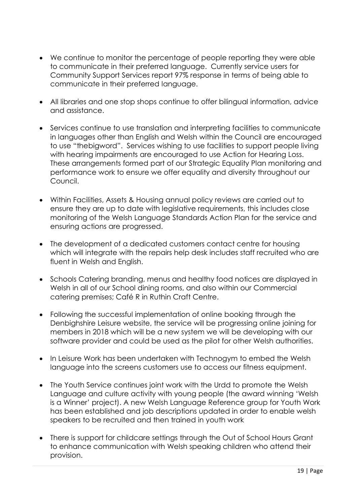- We continue to monitor the percentage of people reporting they were able to communicate in their preferred language. Currently service users for Community Support Services report 97% response in terms of being able to communicate in their preferred language.
- All libraries and one stop shops continue to offer bilingual information, advice and assistance.
- Services continue to use translation and interpreting facilities to communicate in languages other than English and Welsh within the Council are encouraged to use "thebigword". Services wishing to use facilities to support people living with hearing impairments are encouraged to use Action for Hearing Loss. These arrangements formed part of our Strategic Equality Plan monitoring and performance work to ensure we offer equality and diversity throughout our Council.
- Within Facilities, Assets & Housing annual policy reviews are carried out to ensure they are up to date with legislative requirements, this includes close monitoring of the Welsh Language Standards Action Plan for the service and ensuring actions are progressed.
- The development of a dedicated customers contact centre for housing which will integrate with the repairs help desk includes staff recruited who are fluent in Welsh and English.
- Schools Catering branding, menus and healthy food notices are displayed in Welsh in all of our School dining rooms, and also within our Commercial catering premises; Café R in Ruthin Craft Centre.
- Following the successful implementation of online booking through the Denbighshire Leisure website, the service will be progressing online joining for members in 2018 which will be a new system we will be developing with our software provider and could be used as the pilot for other Welsh authorities.
- In Leisure Work has been undertaken with Technogym to embed the Welsh language into the screens customers use to access our fitness equipment.
- The Youth Service continues joint work with the Urdd to promote the Welsh Language and culture activity with young people (the award winning 'Welsh is a Winner' project). A new Welsh Language Reference group for Youth Work has been established and job descriptions updated in order to enable welsh speakers to be recruited and then trained in youth work
- There is support for childcare settings through the Out of School Hours Grant to enhance communication with Welsh speaking children who attend their provision.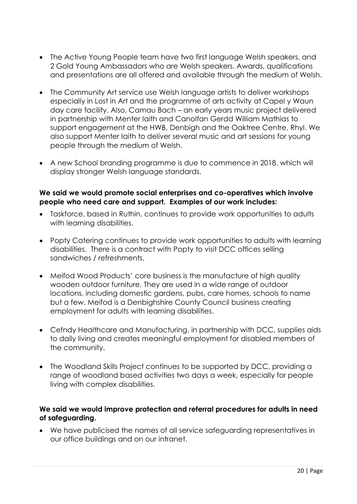- The Active Young People team have two first language Welsh speakers, and 2 Gold Young Ambassadors who are Welsh speakers. Awards, qualifications and presentations are all offered and available through the medium of Welsh.
- The Community Art service use Welsh language artists to deliver workshops especially in Lost in Art and the programme of arts activity at Capel y Waun day care facility. Also, Camau Bach – an early years music project delivered in partnership with Menter Iaith and Canolfan Gerdd William Mathias to support engagement at the HWB, Denbigh and the Oaktree Centre, Rhyl. We also support Menter Iaith to deliver several music and art sessions for young people through the medium of Welsh.
- A new School branding programme is due to commence in 2018, which will display stronger Welsh language standards.

#### **We said we would promote social enterprises and co-operatives which involve people who need care and support. Examples of our work includes:**

- Taskforce, based in Ruthin, continues to provide work opportunities to adults with learning disabilities.
- Popty Catering continues to provide work opportunities to adults with learning disabilities. There is a contract with Popty to visit DCC offices selling sandwiches / refreshments.
- Meifod Wood Products' core business is the manufacture of high quality wooden outdoor furniture. They are used in a wide range of outdoor locations, including domestic gardens, pubs, care homes, schools to name but a few. Meifod is a Denbighshire County Council business creating employment for adults with learning disabilities.
- Cefndy Healthcare and Manufacturing, in partnership with DCC, supplies aids to daily living and creates meaningful employment for disabled members of the community.
- The Woodland Skills Project continues to be supported by DCC, providing a range of woodland based activities two days a week, especially for people living with complex disabilities.

#### **We said we would improve protection and referral procedures for adults in need of safeguarding.**

 We have publicised the names of all service safeguarding representatives in our office buildings and on our intranet.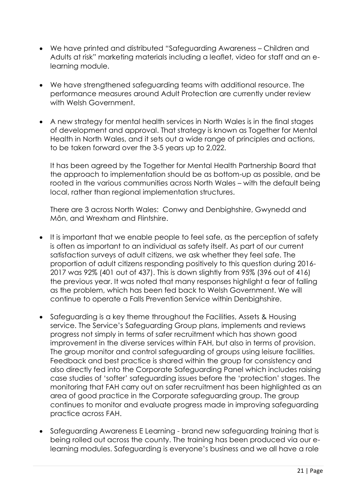- We have printed and distributed "Safeguarding Awareness Children and Adults at risk" marketing materials including a leaflet, video for staff and an elearning module.
- We have strengthened safeguarding teams with additional resource. The performance measures around Adult Protection are currently under review with Welsh Government.
- A new strategy for mental health services in North Wales is in the final stages of development and approval. That strategy is known as Together for Mental Health in North Wales, and it sets out a wide range of principles and actions, to be taken forward over the 3-5 years up to 2,022.

It has been agreed by the Together for Mental Health Partnership Board that the approach to implementation should be as bottom-up as possible, and be rooted in the various communities across North Wales – with the default being local, rather than regional implementation structures.

There are 3 across North Wales: Conwy and Denbighshire, Gwynedd and Môn, and Wrexham and Flintshire.

- It is important that we enable people to feel safe, as the perception of safety is often as important to an individual as safety itself. As part of our current satisfaction surveys of adult citizens, we ask whether they feel safe. The proportion of adult citizens responding positively to this question during 2016- 2017 was 92% (401 out of 437). This is down slightly from 95% (396 out of 416) the previous year. It was noted that many responses highlight a fear of falling as the problem, which has been fed back to Welsh Government. We will continue to operate a Falls Prevention Service within Denbighshire.
- Safeguarding is a key theme throughout the Facilities, Assets & Housing service. The Service's Safeguarding Group plans, implements and reviews progress not simply in terms of safer recruitment which has shown good improvement in the diverse services within FAH, but also in terms of provision. The group monitor and control safeguarding of groups using leisure facilities. Feedback and best practice is shared within the group for consistency and also directly fed into the Corporate Safeguarding Panel which includes raising case studies of 'softer' safeguarding issues before the 'protection' stages. The monitoring that FAH carry out on safer recruitment has been highlighted as an area of good practice in the Corporate safeguarding group. The group continues to monitor and evaluate progress made in improving safeguarding practice across FAH.
- Safeguarding Awareness E Learning brand new safeguarding training that is being rolled out across the county. The training has been produced via our elearning modules. Safeguarding is everyone's business and we all have a role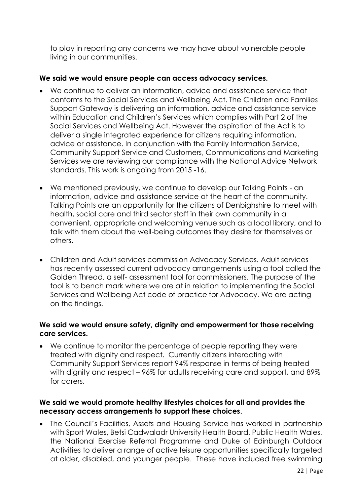to play in reporting any concerns we may have about vulnerable people living in our communities.

#### **We said we would ensure people can access advocacy services.**

- We continue to deliver an information, advice and assistance service that conforms to the Social Services and Wellbeing Act. The Children and Families Support Gateway is delivering an information, advice and assistance service within Education and Children's Services which complies with Part 2 of the Social Services and Wellbeing Act. However the aspiration of the Act is to deliver a single integrated experience for citizens requiring information, advice or assistance. In conjunction with the Family Information Service, Community Support Service and Customers, Communications and Marketing Services we are reviewing our compliance with the National Advice Network standards. This work is ongoing from 2015 -16.
- We mentioned previously, we continue to develop our Talking Points an information, advice and assistance service at the heart of the community. Talking Points are an opportunity for the citizens of Denbighshire to meet with health, social care and third sector staff in their own community in a convenient, appropriate and welcoming venue such as a local library, and to talk with them about the well-being outcomes they desire for themselves or others.
- Children and Adult services commission Advocacy Services. Adult services has recently assessed current advocacy arrangements using a tool called the Golden Thread, a self- assessment tool for commissioners. The purpose of the tool is to bench mark where we are at in relation to implementing the Social Services and Wellbeing Act code of practice for Advocacy. We are acting on the findings.

#### **We said we would ensure safety, dignity and empowerment for those receiving care services.**

 We continue to monitor the percentage of people reporting they were treated with dignity and respect. Currently citizens interacting with Community Support Services report 94% response in terms of being treated with dignity and respect – 96% for adults receiving care and support, and 89% for carers.

#### **We said we would promote healthy lifestyles choices for all and provides the necessary access arrangements to support these choices**.

• The Council's Facilities, Assets and Housing Service has worked in partnership with Sport Wales, Betsi Cadwaladr University Health Board, Public Health Wales, the National Exercise Referral Programme and Duke of Edinburgh Outdoor Activities to deliver a range of active leisure opportunities specifically targeted at older, disabled, and younger people. These have included free swimming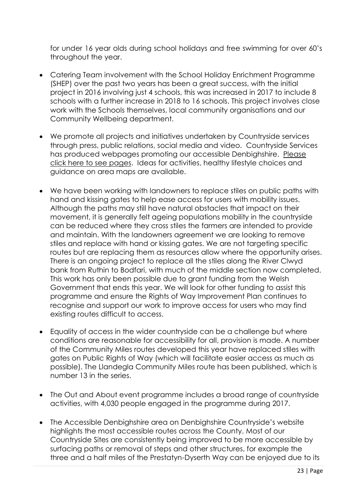for under 16 year olds during school holidays and free swimming for over 60's throughout the year.

- Catering Team involvement with the School Holiday Enrichment Programme (SHEP) over the past two years has been a great success, with the initial project in 2016 involving just 4 schools, this was increased in 2017 to include 8 schools with a further increase in 2018 to 16 schools. This project involves close work with the Schools themselves, local community organisations and our Community Wellbeing department.
- We promote all projects and initiatives undertaken by Countryside services through press, public relations, social media and video. Countryside Services has produced webpages promoting our accessible Denbighshire. [Please](http://www.denbighshirecountryside.org.uk/accessible-denbighshire/)  [click here to see pages.](http://www.denbighshirecountryside.org.uk/accessible-denbighshire/) Ideas for activities, healthy lifestyle choices and guidance on area maps are available.
- We have been working with landowners to replace stiles on public paths with hand and kissing gates to help ease access for users with mobility issues. Although the paths may still have natural obstacles that impact on their movement, it is generally felt ageing populations mobility in the countryside can be reduced where they cross stiles the farmers are intended to provide and maintain. With the landowners agreement we are looking to remove stiles and replace with hand or kissing gates. We are not targeting specific routes but are replacing them as resources allow where the opportunity arises. There is an ongoing project to replace all the stiles along the River Clwyd bank from Ruthin to Bodfari, with much of the middle section now completed. This work has only been possible due to grant funding from the Welsh Government that ends this year. We will look for other funding to assist this programme and ensure the Rights of Way Improvement Plan continues to recognise and support our work to improve access for users who may find existing routes difficult to access.
- Equality of access in the wider countryside can be a challenge but where conditions are reasonable for accessibility for all, provision is made. A number of the Community Miles routes developed this year have replaced stiles with gates on Public Rights of Way (which will facilitate easier access as much as possible). The Llandegla Community Miles route has been published, which is number 13 in the series.
- The Out and About event programme includes a broad range of countryside activities, with 4,030 people engaged in the programme during 2017.
- The Accessible Denbighshire area on Denbighshire Countryside's website highlights the most accessible routes across the County. Most of our Countryside Sites are consistently being improved to be more accessible by surfacing paths or removal of steps and other structures, for example the three and a half miles of the Prestatyn-Dyserth Way can be enjoyed due to its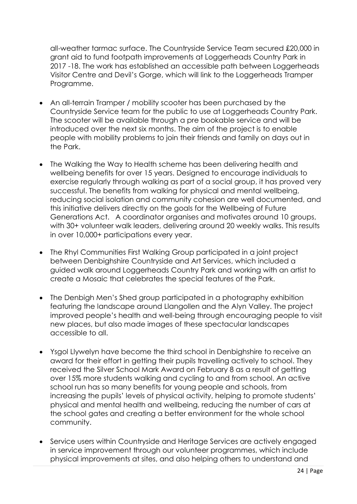all-weather tarmac surface. The Countryside Service Team secured £20,000 in grant aid to fund footpath improvements at Loggerheads Country Park in 2017 -18. The work has established an accessible path between Loggerheads Visitor Centre and Devil's Gorge, which will link to the Loggerheads Tramper Programme.

- An all-terrain Tramper / mobility scooter has been purchased by the Countryside Service team for the public to use at Loggerheads Country Park. The scooter will be available through a pre bookable service and will be introduced over the next six months. The aim of the project is to enable people with mobility problems to join their friends and family on days out in the Park.
- The Walking the Way to Health scheme has been delivering health and wellbeing benefits for over 15 years. Designed to encourage individuals to exercise regularly through walking as part of a social group, it has proved very successful. The benefits from walking for physical and mental wellbeing, reducing social isolation and community cohesion are well documented, and this initiative delivers directly on the goals for the Wellbeing of Future Generations Act. A coordinator organises and motivates around 10 groups, with 30+ volunteer walk leaders, delivering around 20 weekly walks. This results in over 10,000+ participations every year.
- The Rhyl Communities First Walking Group participated in a joint project between Denbighshire Countryside and Art Services, which included a guided walk around Loggerheads Country Park and working with an artist to create a Mosaic that celebrates the special features of the Park.
- The Denbigh Men's Shed group participated in a photography exhibition featuring the landscape around Llangollen and the Alyn Valley. The project improved people's health and well-being through encouraging people to visit new places, but also made images of these spectacular landscapes accessible to all.
- Ysgol Llywelyn have become the third school in Denbighshire to receive an award for their effort in getting their pupils travelling actively to school. They received the Silver School Mark Award on February 8 as a result of getting over 15% more students walking and cycling to and from school. An active school run has so many benefits for young people and schools, from increasing the pupils' levels of physical activity, helping to promote students' physical and mental health and wellbeing, reducing the number of cars at the school gates and creating a better environment for the whole school community.
- Service users within Countryside and Heritage Services are actively engaged in service improvement through our volunteer programmes, which include physical improvements at sites, and also helping others to understand and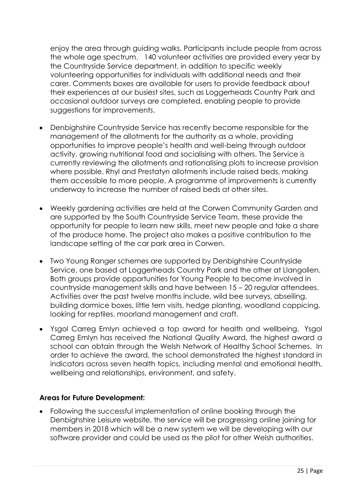enjoy the area through guiding walks. Participants include people from across the whole age spectrum. 140 volunteer activities are provided every year by the Countryside Service department, in addition to specific weekly volunteering opportunities for individuals with additional needs and their carer. Comments boxes are available for users to provide feedback about their experiences at our busiest sites, such as Loggerheads Country Park and occasional outdoor surveys are completed, enabling people to provide suggestions for improvements.

- Denbighshire Countryside Service has recently become responsible for the management of the allotments for the authority as a whole, providing opportunities to improve people's health and well-being through outdoor activity, growing nutritional food and socialising with others. The Service is currently reviewing the allotments and rationalising plots to increase provision where possible. Rhyl and Prestatyn allotments include raised beds, making them accessible to more people. A programme of improvements is currently underway to increase the number of raised beds at other sites.
- Weekly gardening activities are held at the Corwen Community Garden and are supported by the South Countryside Service Team, these provide the opportunity for people to learn new skills, meet new people and take a share of the produce home. The project also makes a positive contribution to the landscape setting of the car park area in Corwen.
- Two Young Ranger schemes are supported by Denbighshire Countryside Service, one based at Loggerheads Country Park and the other at Llangollen. Both groups provide opportunities for Young People to become involved in countryside management skills and have between 15 – 20 regular attendees. Activities over the past twelve months include, wild bee surveys, abseiling, building dormice boxes, little tern visits, hedge planting, woodland coppicing, looking for reptiles, moorland management and craft.
- Ysgol Carreg Emlyn achieved a top award for health and wellbeing. Ysgol Carreg Emlyn has received the National Quality Award, the highest award a school can obtain through the Welsh Network of Healthy School Schemes. In order to achieve the award, the school demonstrated the highest standard in indicators across seven health topics, including mental and emotional health, wellbeing and relationships, environment, and safety.

#### **Areas for Future Development:**

 Following the successful implementation of online booking through the Denbighshire Leisure website, the service will be progressing online joining for members in 2018 which will be a new system we will be developing with our software provider and could be used as the pilot for other Welsh authorities.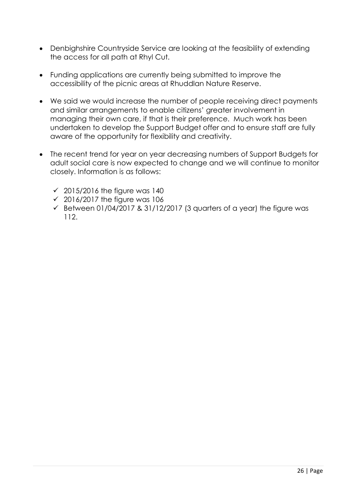- Denbighshire Countryside Service are looking at the feasibility of extending the access for all path at Rhyl Cut.
- Funding applications are currently being submitted to improve the accessibility of the picnic areas at Rhuddlan Nature Reserve.
- We said we would increase the number of people receiving direct payments and similar arrangements to enable citizens' greater involvement in managing their own care, if that is their preference. Much work has been undertaken to develop the Support Budget offer and to ensure staff are fully aware of the opportunity for flexibility and creativity.
- <span id="page-25-0"></span> The recent trend for year on year decreasing numbers of Support Budgets for adult social care is now expected to change and we will continue to monitor closely. Information is as follows:
	- $\checkmark$  2015/2016 the figure was 140
	- $\checkmark$  2016/2017 the figure was 106
	- $\checkmark$  Between 01/04/2017 & 31/12/2017 (3 quarters of a year) the figure was 112.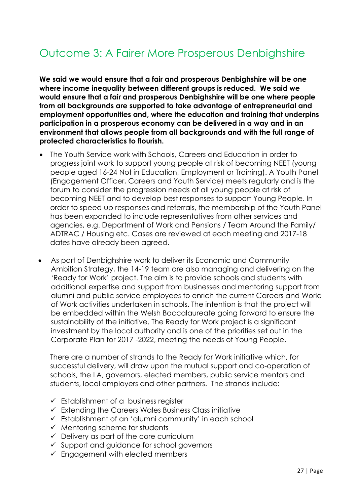## Outcome 3: A Fairer More Prosperous Denbighshire

**We said we would ensure that a fair and prosperous Denbighshire will be one where income inequality between different groups is reduced. We said we would ensure that a fair and prosperous Denbighshire will be one where people from all backgrounds are supported to take advantage of entrepreneurial and employment opportunities and, where the education and training that underpins participation in a prosperous economy can be delivered in a way and in an environment that allows people from all backgrounds and with the full range of protected characteristics to flourish.**

- The Youth Service work with Schools, Careers and Education in order to progress joint work to support young people at risk of becoming NEET (young people aged 16-24 Not in Education, Employment or Training). A Youth Panel (Engagement Officer, Careers and Youth Service) meets regularly and is the forum to consider the progression needs of all young people at risk of becoming NEET and to develop best responses to support Young People. In order to speed up responses and referrals, the membership of the Youth Panel has been expanded to include representatives from other services and agencies, e.g. Department of Work and Pensions / Team Around the Family/ ADTRAC / Housing etc. Cases are reviewed at each meeting and 2017-18 dates have already been agreed.
- As part of Denbighshire work to deliver its Economic and Community Ambition Strategy, the 14-19 team are also managing and delivering on the 'Ready for Work' project. The aim is to provide schools and students with additional expertise and support from businesses and mentoring support from alumni and public service employees to enrich the current Careers and World of Work activities undertaken in schools. The intention is that the project will be embedded within the Welsh Baccalaureate going forward to ensure the sustainability of the initiative. The Ready for Work project is a significant investment by the local authority and is one of the priorities set out in the Corporate Plan for 2017 -2022, meeting the needs of Young People.

There are a number of strands to the Ready for Work initiative which, for successful delivery, will draw upon the mutual support and co-operation of schools, the LA, governors, elected members, public service mentors and students, local employers and other partners. The strands include:

- $\checkmark$  Establishment of a business register
- $\checkmark$  Extending the Careers Wales Business Class initiative
- Establishment of an 'alumni community' in each school
- $\checkmark$  Mentoring scheme for students
- $\checkmark$  Delivery as part of the core curriculum
- $\checkmark$  Support and quidance for school governors
- $\checkmark$  Engagement with elected members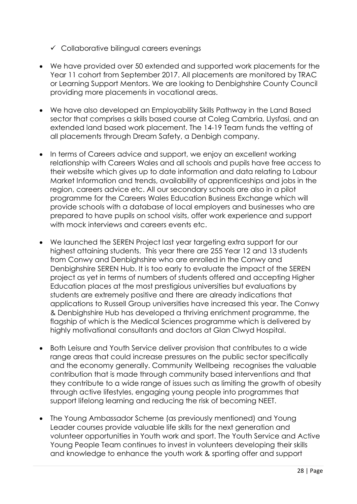- $\checkmark$  Collaborative bilingual careers evenings
- We have provided over 50 extended and supported work placements for the Year 11 cohort from September 2017. All placements are monitored by TRAC or Learning Support Mentors. We are looking to Denbighshire County Council providing more placements in vocational areas.
- We have also developed an Employability Skills Pathway in the Land Based sector that comprises a skills based course at Coleg Cambria, Llysfasi, and an extended land based work placement. The 14-19 Team funds the vetting of all placements through Dream Safety, a Denbigh company.
- In terms of Careers advice and support, we enjoy an excellent working relationship with Careers Wales and all schools and pupils have free access to their website which gives up to date information and data relating to Labour Market Information and trends, availability of apprenticeships and jobs in the region, careers advice etc. All our secondary schools are also in a pilot programme for the Careers Wales Education Business Exchange which will provide schools with a database of local employers and businesses who are prepared to have pupils on school visits, offer work experience and support with mock interviews and careers events etc.
- We launched the SEREN Project last year targeting extra support for our highest attaining students. This year there are 255 Year 12 and 13 students from Conwy and Denbighshire who are enrolled in the Conwy and Denbighshire SEREN Hub. It is too early to evaluate the impact of the SEREN project as yet in terms of numbers of students offered and accepting Higher Education places at the most prestigious universities but evaluations by students are extremely positive and there are already indications that applications to Russell Group universities have increased this year. The Conwy & Denbighshire Hub has developed a thriving enrichment programme, the flagship of which is the Medical Sciences programme which is delivered by highly motivational consultants and doctors at Glan Clwyd Hospital.
- Both Leisure and Youth Service deliver provision that contributes to a wide range areas that could increase pressures on the public sector specifically and the economy generally. Community Wellbeing recognises the valuable contribution that is made through community based interventions and that they contribute to a wide range of issues such as limiting the growth of obesity through active lifestyles, engaging young people into programmes that support lifelong learning and reducing the risk of becoming NEET.
- The Young Ambassador Scheme (as previously mentioned) and Young Leader courses provide valuable life skills for the next generation and volunteer opportunities in Youth work and sport. The Youth Service and Active Young People Team continues to invest in volunteers developing their skills and knowledge to enhance the youth work & sporting offer and support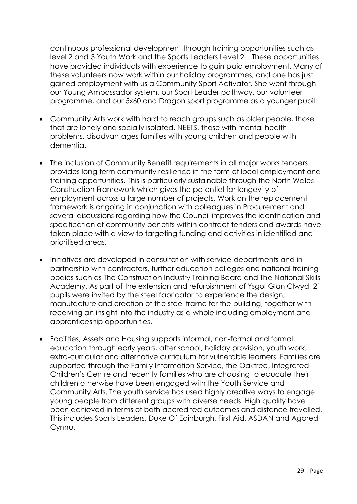continuous professional development through training opportunities such as level 2 and 3 Youth Work and the Sports Leaders Level 2. These opportunities have provided individuals with experience to gain paid employment. Many of these volunteers now work within our holiday programmes, and one has just gained employment with us a Community Sport Activator. She went through our Young Ambassador system, our Sport Leader pathway, our volunteer programme, and our 5x60 and Dragon sport programme as a younger pupil.

- Community Arts work with hard to reach groups such as older people, those that are lonely and socially isolated, NEETS, those with mental health problems, disadvantages families with young children and people with dementia.
- The inclusion of Community Benefit requirements in all major works tenders provides long term community resilience in the form of local employment and training opportunities. This is particularly sustainable through the North Wales Construction Framework which gives the potential for longevity of employment across a large number of projects. Work on the replacement framework is ongoing in conjunction with colleagues in Procurement and several discussions regarding how the Council improves the identification and specification of community benefits within contract tenders and awards have taken place with a view to targeting funding and activities in identified and prioritised areas.
- Initiatives are developed in consultation with service departments and in partnership with contractors, further education colleges and national training bodies such as The Construction Industry Training Board and The National Skills Academy. As part of the extension and refurbishment of Ysgol Glan Clwyd, 21 pupils were invited by the steel fabricator to experience the design, manufacture and erection of the steel frame for the building, together with receiving an insight into the industry as a whole including employment and apprenticeship opportunities.
- Facilities, Assets and Housing supports informal, non-formal and formal education through early years, after school, holiday provision, youth work, extra-curricular and alternative curriculum for vulnerable learners. Families are supported through the Family Information Service, the Oaktree, Integrated Children's Centre and recently families who are choosing to educate their children otherwise have been engaged with the Youth Service and Community Arts. The youth service has used highly creative ways to engage young people from different groups with diverse needs. High quality have been achieved in terms of both accredited outcomes and distance travelled. This includes Sports Leaders, Duke Of Edinburgh, First Aid, ASDAN and Agored Cymru.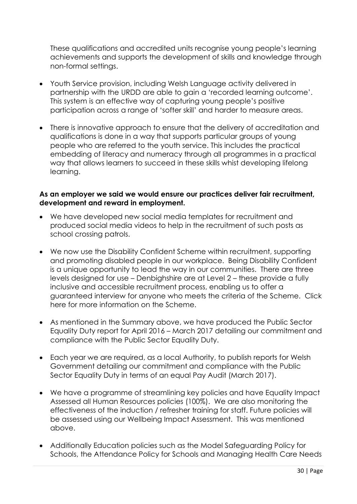These qualifications and accredited units recognise young people's learning achievements and supports the development of skills and knowledge through non-formal settings.

- Youth Service provision, including Welsh Language activity delivered in partnership with the URDD are able to gain a 'recorded learning outcome'. This system is an effective way of capturing young people's positive participation across a range of 'softer skill' and harder to measure areas.
- There is innovative approach to ensure that the delivery of accreditation and qualifications is done in a way that supports particular groups of young people who are referred to the youth service. This includes the practical embedding of literacy and numeracy through all programmes in a practical way that allows learners to succeed in these skills whist developing lifelong learning.

#### **As an employer we said we would ensure our practices deliver fair recruitment, development and reward in employment.**

- We have developed new social media templates for recruitment and produced social media videos to help in the recruitment of such posts as school crossing patrols.
- We now use the Disability Confident Scheme within recruitment, supporting and promoting disabled people in our workplace. Being Disability Confident is a unique opportunity to lead the way in our communities. There are three levels designed for use – Denbighshire are at Level 2 – these provide a fully inclusive and accessible recruitment process, enabling us to offer a guaranteed interview for anyone who meets the criteria of the Scheme. [Click](https://www.gov.uk/government/publications/disability-confident-guidance-for-levels-1-2-and-3/level-2-disability-confident-employer)  [here](https://www.gov.uk/government/publications/disability-confident-guidance-for-levels-1-2-and-3/level-2-disability-confident-employer) for more information on the Scheme.
- As mentioned in the Summary above, we have produced the Public Sector Equality Duty report for April 2016 – March 2017 detailing our commitment and compliance with the Public Sector Equality Duty.
- Each year we are required, as a local Authority, to publish reports for Welsh Government detailing our commitment and compliance with the Public Sector Equality Duty in terms of an equal Pay Audit (March 2017).
- We have a programme of streamlining key policies and have Equality Impact Assessed all Human Resources policies (100%). We are also monitoring the effectiveness of the induction / refresher training for staff. Future policies will be assessed using our Wellbeing Impact Assessment. This was mentioned above.
- Additionally Education policies such as the Model Safeguarding Policy for Schools, the Attendance Policy for Schools and Managing Health Care Needs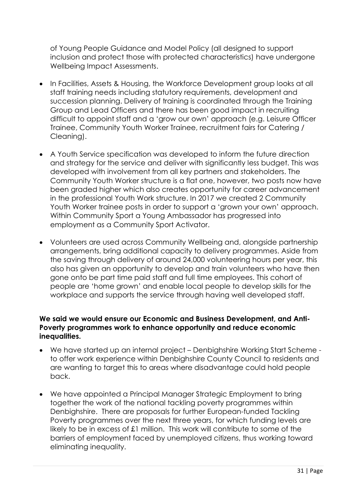of Young People Guidance and Model Policy (all designed to support inclusion and protect those with protected characteristics) have undergone Wellbeing Impact Assessments.

- In Facilities, Assets & Housing, the Workforce Development group looks at all staff training needs including statutory requirements, development and succession planning. Delivery of training is coordinated through the Training Group and Lead Officers and there has been good impact in recruiting difficult to appoint staff and a 'grow our own' approach (e.g. Leisure Officer Trainee, Community Youth Worker Trainee, recruitment fairs for Catering / Cleaning).
- A Youth Service specification was developed to inform the future direction and strategy for the service and deliver with significantly less budget. This was developed with involvement from all key partners and stakeholders. The Community Youth Worker structure is a flat one, however, two posts now have been graded higher which also creates opportunity for career advancement in the professional Youth Work structure. In 2017 we created 2 Community Youth Worker trainee posts in order to support a 'grown your own' approach. Within Community Sport a Young Ambassador has progressed into employment as a Community Sport Activator.
- Volunteers are used across Community Wellbeing and, alongside partnership arrangements, bring additional capacity to delivery programmes. Aside from the saving through delivery of around 24,000 volunteering hours per year, this also has given an opportunity to develop and train volunteers who have then gone onto be part time paid staff and full time employees. This cohort of people are 'home grown' and enable local people to develop skills for the workplace and supports the service through having well developed staff.

#### **We said we would ensure our Economic and Business Development, and Anti-Poverty programmes work to enhance opportunity and reduce economic inequalities.**

- We have started up an internal project Denbighshire Working Start Scheme to offer work experience within Denbighshire County Council to residents and are wanting to target this to areas where disadvantage could hold people back.
- We have appointed a Principal Manager Strategic Employment to bring together the work of the national tackling poverty programmes within Denbighshire. There are proposals for further European-funded Tackling Poverty programmes over the next three years, for which funding levels are likely to be in excess of £1 million. This work will contribute to some of the barriers of employment faced by unemployed citizens, thus working toward eliminating inequality.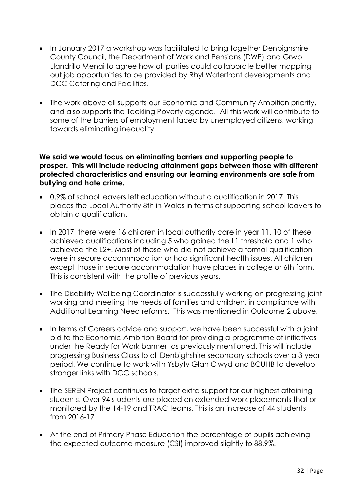- In January 2017 a workshop was facilitated to bring together Denbighshire County Council, the Department of Work and Pensions (DWP) and Grwp Llandrillo Menai to agree how all parties could collaborate better mapping out job opportunities to be provided by Rhyl Waterfront developments and DCC Catering and Facilities.
- The work above all supports our Economic and Community Ambition priority, and also supports the Tackling Poverty agenda. All this work will contribute to some of the barriers of employment faced by unemployed citizens, working towards eliminating inequality.

#### **We said we would focus on eliminating barriers and supporting people to prosper. This will include reducing attainment gaps between those with different protected characteristics and ensuring our learning environments are safe from bullying and hate crime.**

- 0.9% of school leavers left education without a qualification in 2017. This places the Local Authority 8th in Wales in terms of supporting school leavers to obtain a qualification.
- In 2017, there were 16 children in local authority care in year 11, 10 of these achieved qualifications including 5 who gained the L1 threshold and 1 who achieved the L2+. Most of those who did not achieve a formal qualification were in secure accommodation or had significant health issues. All children except those in secure accommodation have places in college or 6th form. This is consistent with the profile of previous years.
- The Disability Wellbeing Coordinator is successfully working on progressing joint working and meeting the needs of families and children, in compliance with Additional Learning Need reforms. This was mentioned in Outcome 2 above.
- In terms of Careers advice and support, we have been successful with a joint bid to the Economic Ambition Board for providing a programme of initiatives under the Ready for Work banner, as previously mentioned. This will include progressing Business Class to all Denbighshire secondary schools over a 3 year period. We continue to work with Ysbyty Glan Clwyd and BCUHB to develop stronger links with DCC schools.
- The SEREN Project continues to target extra support for our highest attaining students. Over 94 students are placed on extended work placements that or monitored by the 14-19 and TRAC teams. This is an increase of 44 students from 2016-17
- At the end of Primary Phase Education the percentage of pupils achieving the expected outcome measure (CSI) improved slightly to 88.9%.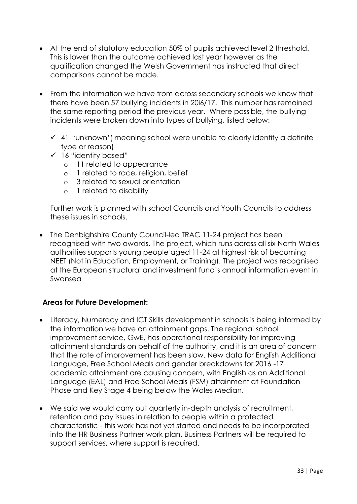- At the end of statutory education 50% of pupils achieved level 2 threshold. This is lower than the outcome achieved last year however as the qualification changed the Welsh Government has instructed that direct comparisons cannot be made.
- From the information we have from across secondary schools we know that there have been 57 bullying incidents in 20i6/17. This number has remained the same reporting period the previous year. Where possible, the bullying incidents were broken down into types of bullying, listed below:
	- $\checkmark$  41 'unknown' (meaning school were unable to clearly identify a definite type or reason)
	- $\checkmark$  16 "identity based"
		- o 11 related to appearance
		- o 1 related to race, religion, belief
		- o 3 related to sexual orientation
		- o 1 related to disability

Further work is planned with school Councils and Youth Councils to address these issues in schools.

• The Denbighshire County Council-led TRAC 11-24 project has been recognised with two awards. The project, which runs across all six North Wales authorities supports young people aged 11-24 at highest risk of becoming NEET (Not in Education, Employment, or Training). The project was recognised at the European structural and investment fund's annual information event in Swansea

#### **Areas for Future Development:**

- Literacy, Numeracy and ICT Skills development in schools is being informed by the information we have on attainment gaps. The regional school improvement service, GwE, has operational responsibility for improving attainment standards on behalf of the authority, and it is an area of concern that the rate of improvement has been slow. New data for English Additional Language, Free School Meals and gender breakdowns for 2016 -17 academic attainment are causing concern, with English as an Additional Language (EAL) and Free School Meals (FSM) attainment at Foundation Phase and Key Stage 4 being below the Wales Median.
- We said we would carry out quarterly in-depth analysis of recruitment, retention and pay issues in relation to people within a protected characteristic - this work has not yet started and needs to be incorporated into the HR Business Partner work plan. Business Partners will be required to support services, where support is required.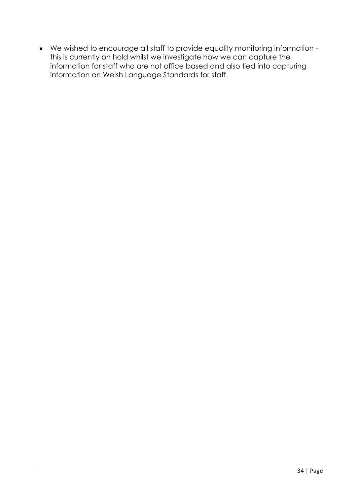We wished to encourage all staff to provide equality monitoring information this is currently on hold whilst we investigate how we can capture the information for staff who are not office based and also tied into capturing information on Welsh Language Standards for staff.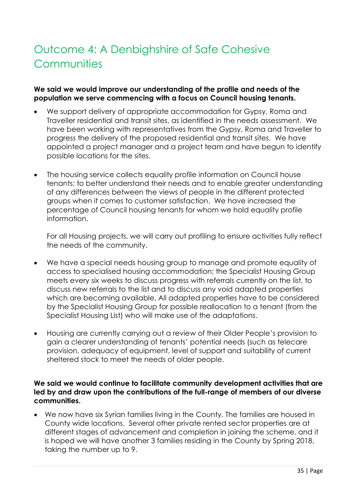# <span id="page-34-0"></span>Outcome 4: A Denbighshire of Safe Cohesive **Communities**

#### **We said we would improve our understanding of the profile and needs of the population we serve commencing with a focus on Council housing tenants.**

- We support delivery of appropriate accommodation for Gypsy, Roma and Traveller residential and transit sites, as identified in the needs assessment. We have been working with representatives from the Gypsy, Roma and Traveller to progress the delivery of the proposed residential and transit sites. We have appointed a project manager and a project team and have begun to identify possible locations for the sites.
- The housing service collects equality profile information on Council house tenants; to better understand their needs and to enable greater understanding of any differences between the views of people in the different protected groups when it comes to customer satisfaction. We have increased the percentage of Council housing tenants for whom we hold equality profile information.

For all Housing projects, we will carry out profiling to ensure activities fully reflect the needs of the community.

- We have a special needs housing group to manage and promote equality of access to specialised housing accommodation; the Specialist Housing Group meets every six weeks to discuss progress with referrals currently on the list, to discuss new referrals to the list and to discuss any void adapted properties which are becoming available. All adapted properties have to be considered by the Specialist Housing Group for possible reallocation to a tenant (from the Specialist Housing List) who will make use of the adaptations.
- Housing are currently carrying out a review of their Older People's provision to gain a clearer understanding of tenants' potential needs (such as telecare provision, adequacy of equipment, level of support and suitability of current sheltered stock to meet the needs of older people.

#### **We said we would continue to facilitate community development activities that are led by and draw upon the contributions of the full-range of members of our diverse communities.**

 We now have six Syrian families living in the County. The families are housed in County wide locations. Several other private rented sector properties are at different stages of advancement and completion in joining the scheme, and it is hoped we will have another 3 families residing in the County by Spring 2018, taking the number up to 9.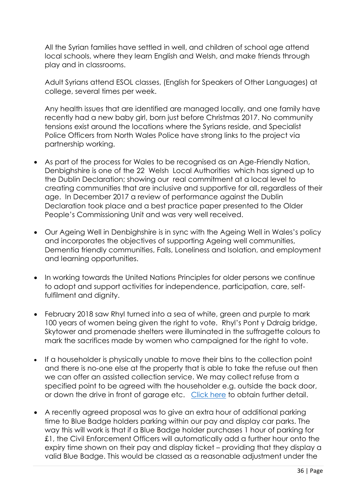All the Syrian families have settled in well, and children of school age attend local schools, where they learn English and Welsh, and make friends through play and in classrooms.

Adult Syrians attend ESOL classes, (English for Speakers of Other Languages) at college, several times per week.

Any health issues that are identified are managed locally, and one family have recently had a new baby girl, born just before Christmas 2017. No community tensions exist around the locations where the Syrians reside, and Specialist Police Officers from North Wales Police have strong links to the project via partnership working.

- As part of the process for Wales to be recognised as an Age-Friendly Nation, Denbighshire is one of the 22 Welsh Local Authorities which has signed up to the Dublin Declaration; showing our real commitment at a local level to creating communities that are inclusive and supportive for all, regardless of their age. In December 2017 a review of performance against the Dublin Declaration took place and a best practice paper presented to the Older People's Commissioning Unit and was very well received.
- Our Ageing Well in Denbighshire is in sync with the Ageing Well in Wales's policy and incorporates the objectives of supporting Ageing well communities, Dementia friendly communities, Falls, Loneliness and Isolation, and employment and learning opportunities.
- In working towards the United Nations Principles for older persons we continue to adopt and support activities for independence, participation, care, selffulfilment and dignity.
- February 2018 saw Rhyl turned into a sea of white, green and purple to mark 100 years of women being given the right to vote. Rhyl's Pont y Ddraig bridge, Skytower and promenade shelters were illuminated in the suffragette colours to mark the sacrifices made by women who campaigned for the right to vote.
- If a householder is physically unable to move their bins to the collection point and there is no-one else at the property that is able to take the refuse out then we can offer an assisted collection service. We may collect refuse from a specified point to be agreed with the householder e.g. outside the back door, or down the drive in front of garage etc. [Click here](https://www.denbighshire.gov.uk/en/resident/bins-and-recycling/assisted-collections.aspx) to obtain further detail.
- A recently agreed proposal was to give an extra hour of additional parking time to Blue Badge holders parking within our pay and display car parks. The way this will work is that if a Blue Badge holder purchases 1 hour of parking for £1, the Civil Enforcement Officers will automatically add a further hour onto the expiry time shown on their pay and display ticket – providing that they display a valid Blue Badge. This would be classed as a reasonable adjustment under the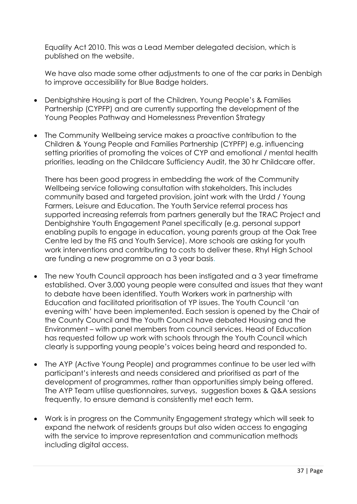Equality Act 2010. This was a Lead Member delegated decision, which is [published on the website.](https://www.sirddinbych.gov.uk/en/your-council/councillors-and-committees/decision.aspx?id=D3AAB12CD929EC88802581F0004D8CC5&source=New)

We have also made some other adjustments to one of the car parks in Denbigh to improve accessibility for Blue Badge holders.

- Denbighshire Housing is part of the Children, Young People's & Families Partnership (CYPFP) and are currently supporting the development of the Young Peoples Pathway and Homelessness Prevention Strategy
- The Community Wellbeing service makes a proactive contribution to the Children & Young People and Families Partnership (CYPFP) e.g. influencing setting priorities of promoting the voices of CYP and emotional / mental health priorities, leading on the Childcare Sufficiency Audit, the 30 hr Childcare offer.

There has been good progress in embedding the work of the Community Wellbeing service following consultation with stakeholders. This includes community based and targeted provision, joint work with the Urdd / Young Farmers, Leisure and Education. The Youth Service referral process has supported increasing referrals from partners generally but the TRAC Project and Denbighshire Youth Engagement Panel specifically (e.g. personal support enabling pupils to engage in education, young parents group at the Oak Tree Centre led by the FIS and Youth Service). More schools are asking for youth work interventions and contributing to costs to deliver these. Rhyl High School are funding a new programme on a 3 year basis.

- The new Youth Council approach has been instigated and a 3 year timeframe established. Over 3,000 young people were consulted and issues that they want to debate have been identified. Youth Workers work in partnership with Education and facilitated prioritisation of YP issues. The Youth Council 'an evening with' have been implemented. Each session is opened by the Chair of the County Council and the Youth Council have debated Housing and the Environment – with panel members from council services. Head of Education has requested follow up work with schools through the Youth Council which clearly is supporting young people's voices being heard and responded to.
- The AYP (Active Young People) and programmes continue to be user led with participant's interests and needs considered and prioritised as part of the development of programmes, rather than opportunities simply being offered. The AYP Team utilise questionnaires, surveys, suggestion boxes & Q&A sessions frequently, to ensure demand is consistently met each term.
- Work is in progress on the Community Engagement strategy which will seek to expand the network of residents groups but also widen access to engaging with the service to improve representation and communication methods including digital access.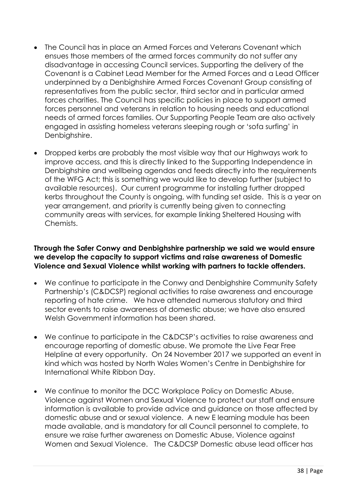- The Council has in place an Armed Forces and Veterans Covenant which ensues those members of the armed forces community do not suffer any disadvantage in accessing Council services. Supporting the delivery of the Covenant is a Cabinet Lead Member for the Armed Forces and a Lead Officer underpinned by a Denbighshire Armed Forces Covenant Group consisting of representatives from the public sector, third sector and in particular armed forces charities. The Council has specific policies in place to support armed forces personnel and veterans in relation to housing needs and educational needs of armed forces families. Our Supporting People Team are also actively engaged in assisting homeless veterans sleeping rough or 'sofa surfing' in Denbighshire.
- Dropped kerbs are probably the most visible way that our Highways work to improve access, and this is directly linked to the Supporting Independence in Denbighshire and wellbeing agendas and feeds directly into the requirements of the WFG Act; this is something we would like to develop further (subject to available resources). Our current programme for installing further dropped kerbs throughout the County is ongoing, with funding set aside. This is a year on year arrangement, and priority is currently being given to connecting community areas with services, for example linking Sheltered Housing with Chemists.

#### **Through the Safer Conwy and Denbighshire partnership we said we would ensure we develop the capacity to support victims and raise awareness of Domestic Violence and Sexual Violence whilst working with partners to tackle offenders.**

- We continue to participate in the Conwy and Denbighshire Community Safety Partnership's (C&DCSP) regional activities to raise awareness and encourage reporting of hate crime. We have attended numerous statutory and third sector events to raise awareness of domestic abuse; we have also ensured Welsh Government information has been shared.
- We continue to participate in the C&DCSP's activities to raise awareness and encourage reporting of domestic abuse. We promote the Live Fear Free Helpline at every opportunity. On 24 November 2017 we supported an event in kind which was hosted by North Wales Women's Centre in Denbighshire for International White Ribbon Day.
- We continue to monitor the DCC Workplace Policy on Domestic Abuse, Violence against Women and Sexual Violence to protect our staff and ensure information is available to provide advice and guidance on those affected by domestic abuse and or sexual violence. A new E learning module has been made available, and is mandatory for all Council personnel to complete, to ensure we raise further awareness on Domestic Abuse, Violence against Women and Sexual Violence. The C&DCSP Domestic abuse lead officer has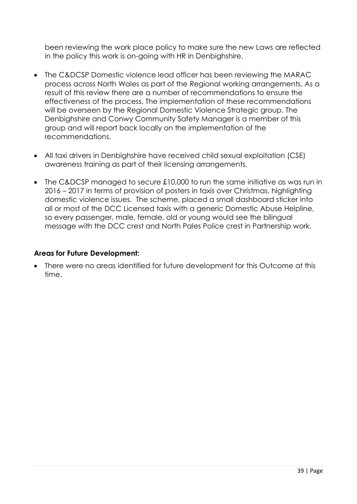been reviewing the work place policy to make sure the new Laws are reflected in the policy this work is on-going with HR in Denbighshire.

- The C&DCSP Domestic violence lead officer has been reviewing the MARAC process across North Wales as part of the Regional working arrangements. As a result of this review there are a number of recommendations to ensure the effectiveness of the process. The implementation of these recommendations will be overseen by the Regional Domestic Violence Strategic group. The Denbighshire and Conwy Community Safety Manager is a member of this group and will report back locally on the implementation of the recommendations.
- All taxi drivers in Denbighshire have received child sexual exploitation (CSE) awareness training as part of their licensing arrangements.
- The C&DCSP managed to secure £10,000 to run the same initiative as was run in 2016 – 2017 in terms of provision of posters in taxis over Christmas, highlighting domestic violence issues. The scheme, placed a small dashboard sticker into all or most of the DCC Licensed taxis with a generic Domestic Abuse Helpline, so every passenger, male, female, old or young would see the bilingual message with the DCC crest and North Pales Police crest in Partnership work.

#### **Areas for Future Development:**

 There were no areas identified for future development for this Outcome at this time.